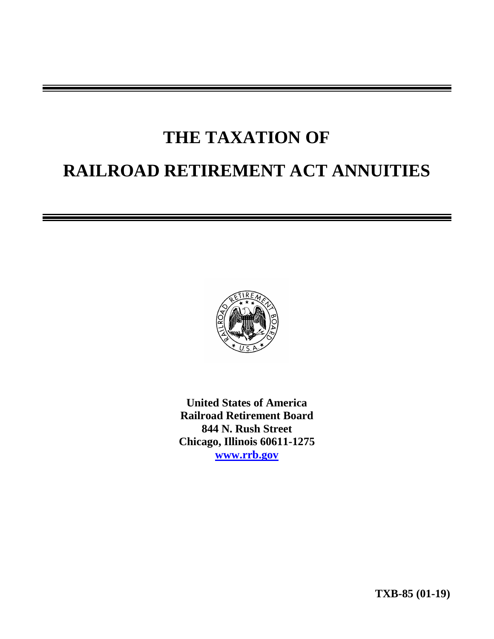# **THE TAXATION OF RAILROAD RETIREMENT ACT ANNUITIES**



**United States of America Railroad Retirement Board 844 N. Rush Street Chicago, Illinois 60611-1275 [www.rrb.gov](http://www.rrb.gov/)**

**TXB-85 (01-19)**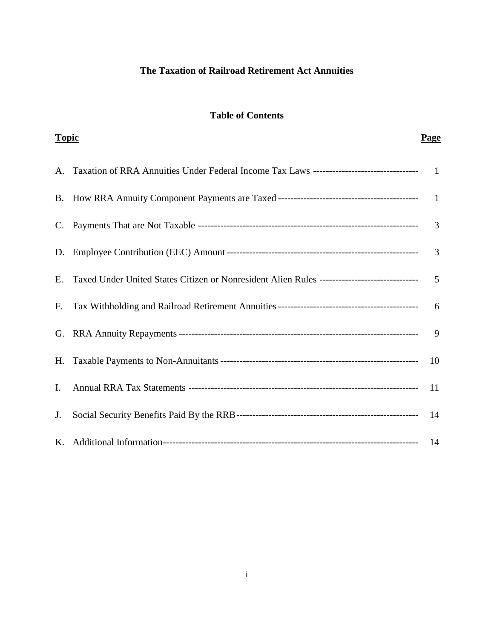# **The Taxation of Railroad Retirement Act Annuities**

## **Table of Contents**

| <b>Topic</b> |                                                                                            | <b>Page</b>   |
|--------------|--------------------------------------------------------------------------------------------|---------------|
| A.           |                                                                                            |               |
|              |                                                                                            |               |
|              |                                                                                            | 3             |
|              |                                                                                            | 3             |
| Е.           | Taxed Under United States Citizen or Nonresident Alien Rules ----------------------------- | 5             |
| F.           |                                                                                            | 6             |
|              |                                                                                            | 9             |
|              |                                                                                            | 10            |
| I.           |                                                                                            | <sup>11</sup> |
| J.           |                                                                                            |               |
|              |                                                                                            |               |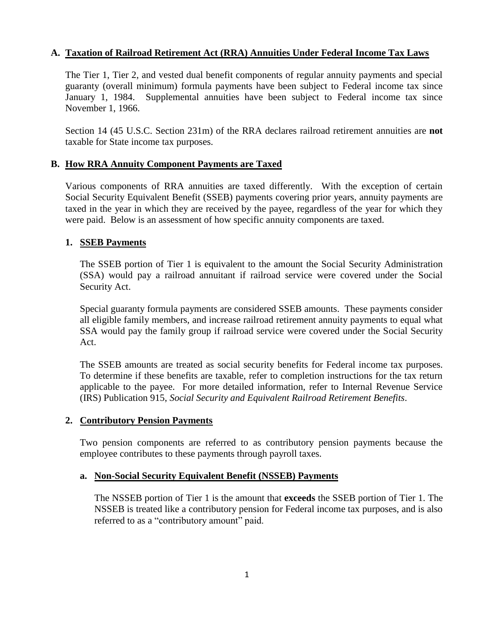## **A. Taxation of Railroad Retirement Act (RRA) Annuities Under Federal Income Tax Laws**

The Tier 1, Tier 2, and vested dual benefit components of regular annuity payments and special guaranty (overall minimum) formula payments have been subject to Federal income tax since January 1, 1984. Supplemental annuities have been subject to Federal income tax since November 1, 1966.

Section 14 (45 U.S.C. Section 231m) of the RRA declares railroad retirement annuities are **not**  taxable for State income tax purposes.

## **B. How RRA Annuity Component Payments are Taxed**

Various components of RRA annuities are taxed differently. With the exception of certain Social Security Equivalent Benefit (SSEB) payments covering prior years, annuity payments are taxed in the year in which they are received by the payee, regardless of the year for which they were paid. Below is an assessment of how specific annuity components are taxed.

## **1. SSEB Payments**

The SSEB portion of Tier 1 is equivalent to the amount the Social Security Administration (SSA) would pay a railroad annuitant if railroad service were covered under the Social Security Act.

Special guaranty formula payments are considered SSEB amounts. These payments consider all eligible family members, and increase railroad retirement annuity payments to equal what SSA would pay the family group if railroad service were covered under the Social Security Act.

The SSEB amounts are treated as social security benefits for Federal income tax purposes. To determine if these benefits are taxable, refer to completion instructions for the tax return applicable to the payee. For more detailed information, refer to Internal Revenue Service (IRS) Publication 915, *Social Security and Equivalent Railroad Retirement Benefits*.

## **2. Contributory Pension Payments**

Two pension components are referred to as contributory pension payments because the employee contributes to these payments through payroll taxes.

## **a. Non-Social Security Equivalent Benefit (NSSEB) Payments**

The NSSEB portion of Tier 1 is the amount that **exceeds** the SSEB portion of Tier 1. The NSSEB is treated like a contributory pension for Federal income tax purposes, and is also referred to as a "contributory amount" paid.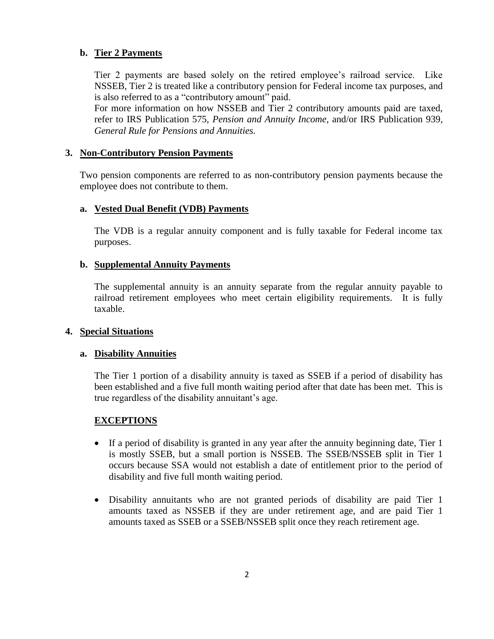## **b. Tier 2 Payments**

Tier 2 payments are based solely on the retired employee's railroad service. Like NSSEB, Tier 2 is treated like a contributory pension for Federal income tax purposes, and is also referred to as a "contributory amount" paid.

For more information on how NSSEB and Tier 2 contributory amounts paid are taxed, refer to IRS Publication 575, *Pension and Annuity Income,* and/or IRS Publication 939, *General Rule for Pensions and Annuities.*

#### **3. Non-Contributory Pension Payments**

Two pension components are referred to as non-contributory pension payments because the employee does not contribute to them.

## **a. Vested Dual Benefit (VDB) Payments**

The VDB is a regular annuity component and is fully taxable for Federal income tax purposes.

#### **b. Supplemental Annuity Payments**

The supplemental annuity is an annuity separate from the regular annuity payable to railroad retirement employees who meet certain eligibility requirements. It is fully taxable.

#### **4. Special Situations**

#### **a. Disability Annuities**

The Tier 1 portion of a disability annuity is taxed as SSEB if a period of disability has been established and a five full month waiting period after that date has been met. This is true regardless of the disability annuitant's age.

## **EXCEPTIONS**

- If a period of disability is granted in any year after the annuity beginning date, Tier 1 is mostly SSEB, but a small portion is NSSEB. The SSEB/NSSEB split in Tier 1 occurs because SSA would not establish a date of entitlement prior to the period of disability and five full month waiting period.
- Disability annuitants who are not granted periods of disability are paid Tier 1 amounts taxed as NSSEB if they are under retirement age, and are paid Tier 1 amounts taxed as SSEB or a SSEB/NSSEB split once they reach retirement age.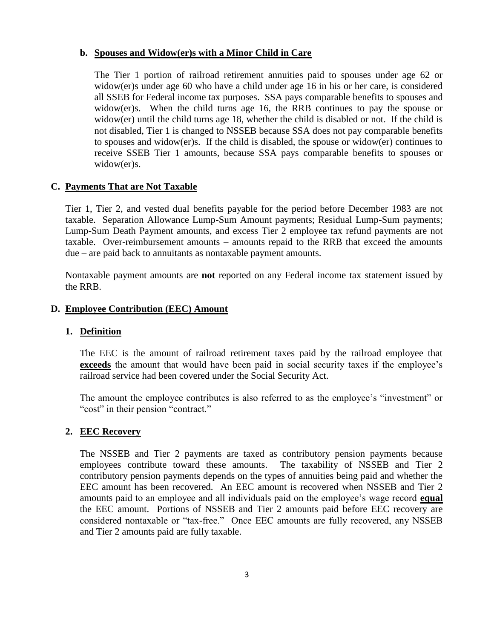#### **b. Spouses and Widow(er)s with a Minor Child in Care**

The Tier 1 portion of railroad retirement annuities paid to spouses under age 62 or widow(er)s under age 60 who have a child under age 16 in his or her care, is considered all SSEB for Federal income tax purposes. SSA pays comparable benefits to spouses and widow(er)s. When the child turns age 16, the RRB continues to pay the spouse or widow(er) until the child turns age 18, whether the child is disabled or not. If the child is not disabled, Tier 1 is changed to NSSEB because SSA does not pay comparable benefits to spouses and widow(er)s. If the child is disabled, the spouse or widow(er) continues to receive SSEB Tier 1 amounts, because SSA pays comparable benefits to spouses or widow(er)s.

#### **C. Payments That are Not Taxable**

Tier 1, Tier 2, and vested dual benefits payable for the period before December 1983 are not taxable. Separation Allowance Lump-Sum Amount payments; Residual Lump-Sum payments; Lump-Sum Death Payment amounts, and excess Tier 2 employee tax refund payments are not taxable. Over-reimbursement amounts – amounts repaid to the RRB that exceed the amounts due – are paid back to annuitants as nontaxable payment amounts.

Nontaxable payment amounts are **not** reported on any Federal income tax statement issued by the RRB.

#### **D. Employee Contribution (EEC) Amount**

#### **1. Definition**

The EEC is the amount of railroad retirement taxes paid by the railroad employee that **exceeds** the amount that would have been paid in social security taxes if the employee's railroad service had been covered under the Social Security Act.

The amount the employee contributes is also referred to as the employee's "investment" or "cost" in their pension "contract."

#### **2. EEC Recovery**

The NSSEB and Tier 2 payments are taxed as contributory pension payments because employees contribute toward these amounts. The taxability of NSSEB and Tier 2 contributory pension payments depends on the types of annuities being paid and whether the EEC amount has been recovered. An EEC amount is recovered when NSSEB and Tier 2 amounts paid to an employee and all individuals paid on the employee's wage record **equal** the EEC amount. Portions of NSSEB and Tier 2 amounts paid before EEC recovery are considered nontaxable or "tax-free." Once EEC amounts are fully recovered, any NSSEB and Tier 2 amounts paid are fully taxable.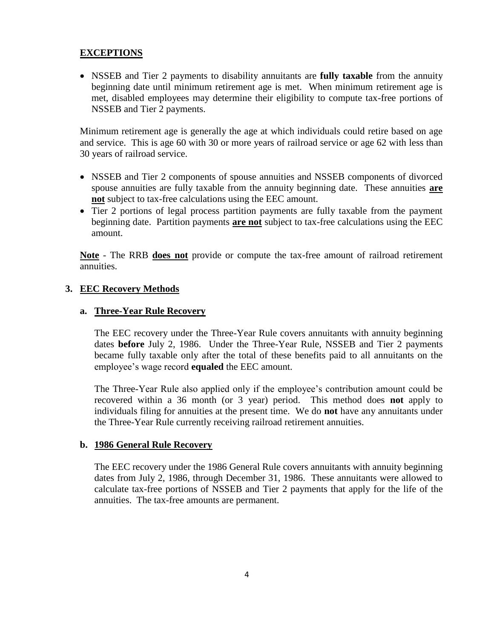## **EXCEPTIONS**

 NSSEB and Tier 2 payments to disability annuitants are **fully taxable** from the annuity beginning date until minimum retirement age is met. When minimum retirement age is met, disabled employees may determine their eligibility to compute tax-free portions of NSSEB and Tier 2 payments.

Minimum retirement age is generally the age at which individuals could retire based on age and service. This is age 60 with 30 or more years of railroad service or age 62 with less than 30 years of railroad service.

- NSSEB and Tier 2 components of spouse annuities and NSSEB components of divorced spouse annuities are fully taxable from the annuity beginning date. These annuities **are not** subject to tax-free calculations using the EEC amount.
- Tier 2 portions of legal process partition payments are fully taxable from the payment beginning date. Partition payments **are not** subject to tax-free calculations using the EEC amount.

**Note** - The RRB **does not** provide or compute the tax-free amount of railroad retirement annuities.

## **3. EEC Recovery Methods**

## **a. Three-Year Rule Recovery**

The EEC recovery under the Three-Year Rule covers annuitants with annuity beginning dates **before** July 2, 1986. Under the Three-Year Rule, NSSEB and Tier 2 payments became fully taxable only after the total of these benefits paid to all annuitants on the employee's wage record **equaled** the EEC amount.

The Three-Year Rule also applied only if the employee's contribution amount could be recovered within a 36 month (or 3 year) period. This method does **not** apply to individuals filing for annuities at the present time. We do **not** have any annuitants under the Three-Year Rule currently receiving railroad retirement annuities.

#### **b. 1986 General Rule Recovery**

The EEC recovery under the 1986 General Rule covers annuitants with annuity beginning dates from July 2, 1986, through December 31, 1986. These annuitants were allowed to calculate tax-free portions of NSSEB and Tier 2 payments that apply for the life of the annuities. The tax-free amounts are permanent.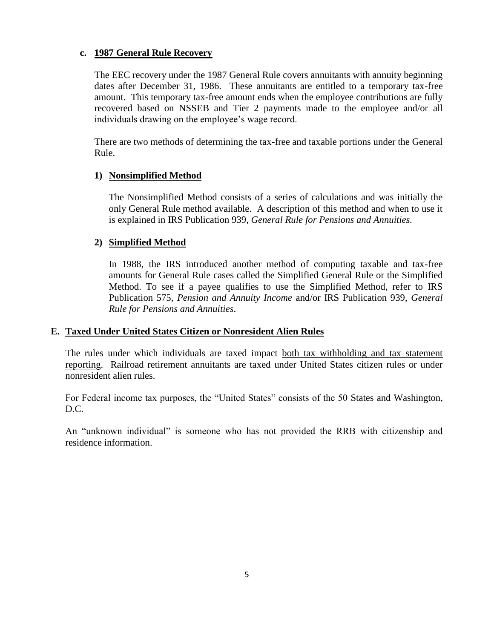#### **c. 1987 General Rule Recovery**

The EEC recovery under the 1987 General Rule covers annuitants with annuity beginning dates after December 31, 1986. These annuitants are entitled to a temporary tax-free amount. This temporary tax-free amount ends when the employee contributions are fully recovered based on NSSEB and Tier 2 payments made to the employee and/or all individuals drawing on the employee's wage record.

There are two methods of determining the tax-free and taxable portions under the General Rule.

## **1) Nonsimplified Method**

The Nonsimplified Method consists of a series of calculations and was initially the only General Rule method available. A description of this method and when to use it is explained in IRS Publication 939, *General Rule for Pensions and Annuities.*

#### **2) Simplified Method**

In 1988, the IRS introduced another method of computing taxable and tax-free amounts for General Rule cases called the Simplified General Rule or the Simplified Method. To see if a payee qualifies to use the Simplified Method, refer to IRS Publication 575, *Pension and Annuity Income* and/or IRS Publication 939, *General Rule for Pensions and Annuities*.

#### **E. Taxed Under United States Citizen or Nonresident Alien Rules**

The rules under which individuals are taxed impact both tax withholding and tax statement reporting. Railroad retirement annuitants are taxed under United States citizen rules or under nonresident alien rules.

For Federal income tax purposes, the "United States" consists of the 50 States and Washington, D.C.

An "unknown individual" is someone who has not provided the RRB with citizenship and residence information.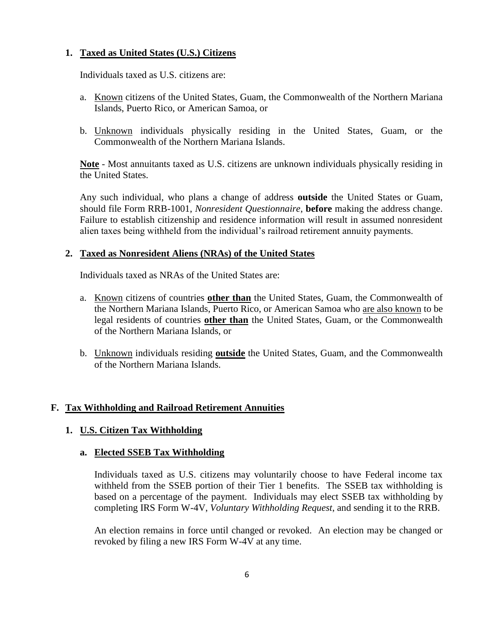## **1. Taxed as United States (U.S.) Citizens**

Individuals taxed as U.S. citizens are:

- a. Known citizens of the United States, Guam, the Commonwealth of the Northern Mariana Islands, Puerto Rico, or American Samoa, or
- b. Unknown individuals physically residing in the United States, Guam, or the Commonwealth of the Northern Mariana Islands.

**Note** - Most annuitants taxed as U.S. citizens are unknown individuals physically residing in the United States.

Any such individual, who plans a change of address **outside** the United States or Guam, should file Form RRB-1001, *Nonresident Questionnaire*, **before** making the address change. Failure to establish citizenship and residence information will result in assumed nonresident alien taxes being withheld from the individual's railroad retirement annuity payments.

#### **2. Taxed as Nonresident Aliens (NRAs) of the United States**

Individuals taxed as NRAs of the United States are:

- a. Known citizens of countries **other than** the United States, Guam, the Commonwealth of the Northern Mariana Islands, Puerto Rico, or American Samoa who are also known to be legal residents of countries **other than** the United States, Guam, or the Commonwealth of the Northern Mariana Islands, or
- b. Unknown individuals residing **outside** the United States, Guam, and the Commonwealth of the Northern Mariana Islands.

## **F. Tax Withholding and Railroad Retirement Annuities**

## **1. U.S. Citizen Tax Withholding**

## **a. Elected SSEB Tax Withholding**

Individuals taxed as U.S. citizens may voluntarily choose to have Federal income tax withheld from the SSEB portion of their Tier 1 benefits. The SSEB tax withholding is based on a percentage of the payment. Individuals may elect SSEB tax withholding by completing IRS Form W-4V, *Voluntary Withholding Request*, and sending it to the RRB.

An election remains in force until changed or revoked. An election may be changed or revoked by filing a new IRS Form W-4V at any time.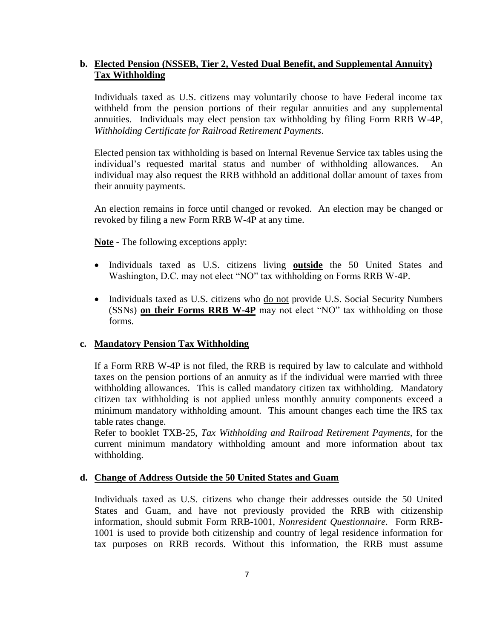## **b. Elected Pension (NSSEB, Tier 2, Vested Dual Benefit, and Supplemental Annuity) Tax Withholding**

Individuals taxed as U.S. citizens may voluntarily choose to have Federal income tax withheld from the pension portions of their regular annuities and any supplemental annuities. Individuals may elect pension tax withholding by filing Form RRB W-4P, *Withholding Certificate for Railroad Retirement Payments*.

Elected pension tax withholding is based on Internal Revenue Service tax tables using the individual's requested marital status and number of withholding allowances. individual may also request the RRB withhold an additional dollar amount of taxes from their annuity payments.

An election remains in force until changed or revoked. An election may be changed or revoked by filing a new Form RRB W-4P at any time.

**Note -** The following exceptions apply:

- Individuals taxed as U.S. citizens living **outside** the 50 United States and Washington, D.C. may not elect "NO" tax withholding on Forms RRB W-4P.
- Individuals taxed as U.S. citizens who do not provide U.S. Social Security Numbers (SSNs) **on their Forms RRB W-4P** may not elect "NO" tax withholding on those forms.

## **c. Mandatory Pension Tax Withholding**

If a Form RRB W-4P is not filed, the RRB is required by law to calculate and withhold taxes on the pension portions of an annuity as if the individual were married with three withholding allowances. This is called mandatory citizen tax withholding. Mandatory citizen tax withholding is not applied unless monthly annuity components exceed a minimum mandatory withholding amount. This amount changes each time the IRS tax table rates change.

Refer to booklet TXB-25, *Tax Withholding and Railroad Retirement Payments,* for the current minimum mandatory withholding amount and more information about tax withholding.

## **d. Change of Address Outside the 50 United States and Guam**

Individuals taxed as U.S. citizens who change their addresses outside the 50 United States and Guam, and have not previously provided the RRB with citizenship information, should submit Form RRB-1001, *Nonresident Questionnaire*. Form RRB-1001 is used to provide both citizenship and country of legal residence information for tax purposes on RRB records. Without this information, the RRB must assume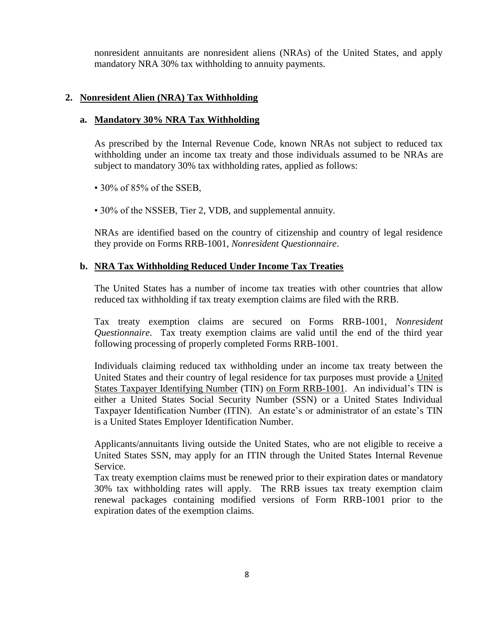nonresident annuitants are nonresident aliens (NRAs) of the United States, and apply mandatory NRA 30% tax withholding to annuity payments.

#### **2. Nonresident Alien (NRA) Tax Withholding**

#### **a. Mandatory 30% NRA Tax Withholding**

As prescribed by the Internal Revenue Code, known NRAs not subject to reduced tax withholding under an income tax treaty and those individuals assumed to be NRAs are subject to mandatory 30% tax withholding rates, applied as follows:

• 30% of 85% of the SSEB,

• 30% of the NSSEB, Tier 2, VDB, and supplemental annuity.

NRAs are identified based on the country of citizenship and country of legal residence they provide on Forms RRB-1001, *Nonresident Questionnaire*.

#### **b. NRA Tax Withholding Reduced Under Income Tax Treaties**

The United States has a number of income tax treaties with other countries that allow reduced tax withholding if tax treaty exemption claims are filed with the RRB.

Tax treaty exemption claims are secured on Forms RRB-1001, *Nonresident Questionnaire*. Tax treaty exemption claims are valid until the end of the third year following processing of properly completed Forms RRB-1001.

Individuals claiming reduced tax withholding under an income tax treaty between the United States and their country of legal residence for tax purposes must provide a United States Taxpayer Identifying Number (TIN) on Form RRB-1001. An individual's TIN is either a United States Social Security Number (SSN) or a United States Individual Taxpayer Identification Number (ITIN). An estate's or administrator of an estate's TIN is a United States Employer Identification Number.

Applicants/annuitants living outside the United States, who are not eligible to receive a United States SSN, may apply for an ITIN through the United States Internal Revenue Service.

Tax treaty exemption claims must be renewed prior to their expiration dates or mandatory 30% tax withholding rates will apply. The RRB issues tax treaty exemption claim renewal packages containing modified versions of Form RRB-1001 prior to the expiration dates of the exemption claims.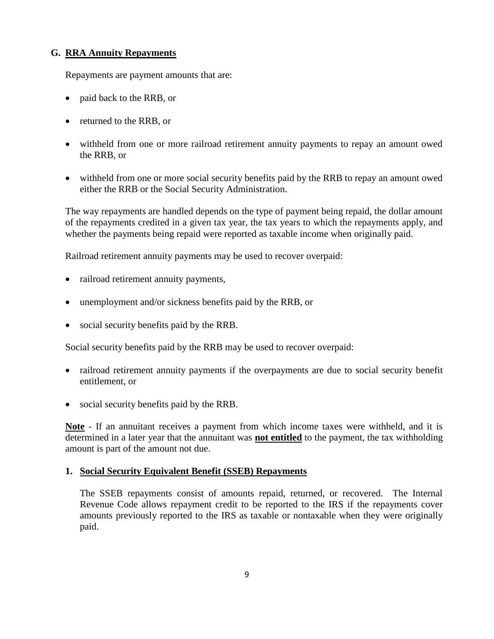## **G. RRA Annuity Repayments**

Repayments are payment amounts that are:

- paid back to the RRB, or
- returned to the RRB, or
- withheld from one or more railroad retirement annuity payments to repay an amount owed the RRB, or
- withheld from one or more social security benefits paid by the RRB to repay an amount owed either the RRB or the Social Security Administration.

The way repayments are handled depends on the type of payment being repaid, the dollar amount of the repayments credited in a given tax year, the tax years to which the repayments apply, and whether the payments being repaid were reported as taxable income when originally paid.

Railroad retirement annuity payments may be used to recover overpaid:

- railroad retirement annuity payments,
- unemployment and/or sickness benefits paid by the RRB, or
- social security benefits paid by the RRB.

Social security benefits paid by the RRB may be used to recover overpaid:

- railroad retirement annuity payments if the overpayments are due to social security benefit entitlement, or
- social security benefits paid by the RRB.

**Note** - If an annuitant receives a payment from which income taxes were withheld, and it is determined in a later year that the annuitant was **not entitled** to the payment, the tax withholding amount is part of the amount not due.

## **1. Social Security Equivalent Benefit (SSEB) Repayments**

The SSEB repayments consist of amounts repaid, returned, or recovered. The Internal Revenue Code allows repayment credit to be reported to the IRS if the repayments cover amounts previously reported to the IRS as taxable or nontaxable when they were originally paid.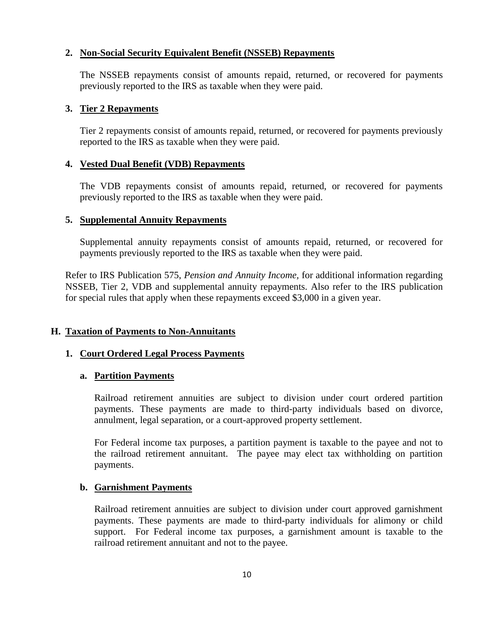#### **2. Non-Social Security Equivalent Benefit (NSSEB) Repayments**

The NSSEB repayments consist of amounts repaid, returned, or recovered for payments previously reported to the IRS as taxable when they were paid.

#### **3. Tier 2 Repayments**

Tier 2 repayments consist of amounts repaid, returned, or recovered for payments previously reported to the IRS as taxable when they were paid.

#### **4. Vested Dual Benefit (VDB) Repayments**

The VDB repayments consist of amounts repaid, returned, or recovered for payments previously reported to the IRS as taxable when they were paid.

#### **5. Supplemental Annuity Repayments**

Supplemental annuity repayments consist of amounts repaid, returned, or recovered for payments previously reported to the IRS as taxable when they were paid.

Refer to IRS Publication 575, *Pension and Annuity Income,* for additional information regarding NSSEB, Tier 2, VDB and supplemental annuity repayments. Also refer to the IRS publication for special rules that apply when these repayments exceed \$3,000 in a given year.

## **H. Taxation of Payments to Non-Annuitants**

#### **1. Court Ordered Legal Process Payments**

#### **a. Partition Payments**

Railroad retirement annuities are subject to division under court ordered partition payments. These payments are made to third-party individuals based on divorce, annulment, legal separation, or a court-approved property settlement.

For Federal income tax purposes, a partition payment is taxable to the payee and not to the railroad retirement annuitant. The payee may elect tax withholding on partition payments.

#### **b. Garnishment Payments**

Railroad retirement annuities are subject to division under court approved garnishment payments. These payments are made to third-party individuals for alimony or child support. For Federal income tax purposes, a garnishment amount is taxable to the railroad retirement annuitant and not to the payee.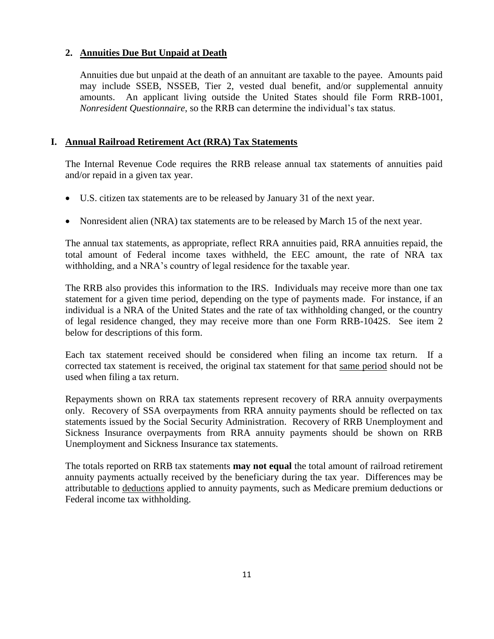## **2. Annuities Due But Unpaid at Death**

Annuities due but unpaid at the death of an annuitant are taxable to the payee. Amounts paid may include SSEB, NSSEB, Tier 2, vested dual benefit, and/or supplemental annuity amounts. An applicant living outside the United States should file Form RRB-1001, *Nonresident Questionnaire*, so the RRB can determine the individual's tax status.

## **I. Annual Railroad Retirement Act (RRA) Tax Statements**

The Internal Revenue Code requires the RRB release annual tax statements of annuities paid and/or repaid in a given tax year.

- U.S. citizen tax statements are to be released by January 31 of the next year.
- Nonresident alien (NRA) tax statements are to be released by March 15 of the next year.

The annual tax statements, as appropriate, reflect RRA annuities paid, RRA annuities repaid, the total amount of Federal income taxes withheld, the EEC amount, the rate of NRA tax withholding, and a NRA's country of legal residence for the taxable year.

The RRB also provides this information to the IRS. Individuals may receive more than one tax statement for a given time period, depending on the type of payments made. For instance, if an individual is a NRA of the United States and the rate of tax withholding changed, or the country of legal residence changed, they may receive more than one Form RRB-1042S. See item 2 below for descriptions of this form.

Each tax statement received should be considered when filing an income tax return. If a corrected tax statement is received, the original tax statement for that same period should not be used when filing a tax return.

Repayments shown on RRA tax statements represent recovery of RRA annuity overpayments only. Recovery of SSA overpayments from RRA annuity payments should be reflected on tax statements issued by the Social Security Administration. Recovery of RRB Unemployment and Sickness Insurance overpayments from RRA annuity payments should be shown on RRB Unemployment and Sickness Insurance tax statements.

The totals reported on RRB tax statements **may not equal** the total amount of railroad retirement annuity payments actually received by the beneficiary during the tax year. Differences may be attributable to deductions applied to annuity payments, such as Medicare premium deductions or Federal income tax withholding.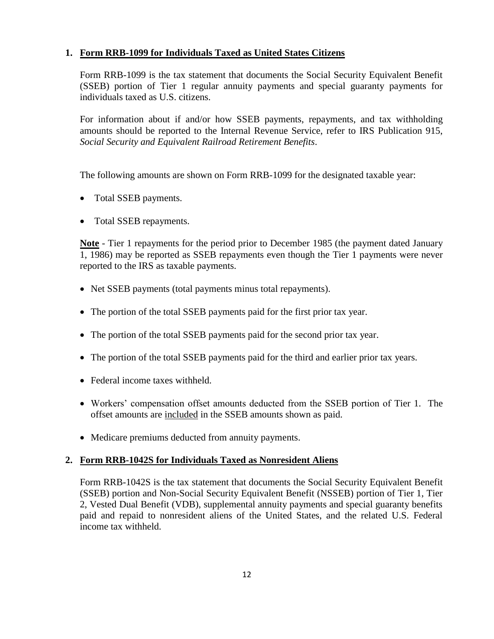## **1. Form RRB-1099 for Individuals Taxed as United States Citizens**

Form RRB-1099 is the tax statement that documents the Social Security Equivalent Benefit (SSEB) portion of Tier 1 regular annuity payments and special guaranty payments for individuals taxed as U.S. citizens.

For information about if and/or how SSEB payments, repayments, and tax withholding amounts should be reported to the Internal Revenue Service, refer to IRS Publication 915, *Social Security and Equivalent Railroad Retirement Benefits*.

The following amounts are shown on Form RRB-1099 for the designated taxable year:

- Total SSEB payments.
- Total SSEB repayments.

**Note** - Tier 1 repayments for the period prior to December 1985 (the payment dated January 1, 1986) may be reported as SSEB repayments even though the Tier 1 payments were never reported to the IRS as taxable payments.

- Net SSEB payments (total payments minus total repayments).
- The portion of the total SSEB payments paid for the first prior tax year.
- The portion of the total SSEB payments paid for the second prior tax year.
- The portion of the total SSEB payments paid for the third and earlier prior tax years.
- Federal income taxes withheld.
- Workers' compensation offset amounts deducted from the SSEB portion of Tier 1. The offset amounts are included in the SSEB amounts shown as paid.
- Medicare premiums deducted from annuity payments.

## **2. Form RRB-1042S for Individuals Taxed as Nonresident Aliens**

Form RRB-1042S is the tax statement that documents the Social Security Equivalent Benefit (SSEB) portion and Non-Social Security Equivalent Benefit (NSSEB) portion of Tier 1, Tier 2, Vested Dual Benefit (VDB), supplemental annuity payments and special guaranty benefits paid and repaid to nonresident aliens of the United States, and the related U.S. Federal income tax withheld.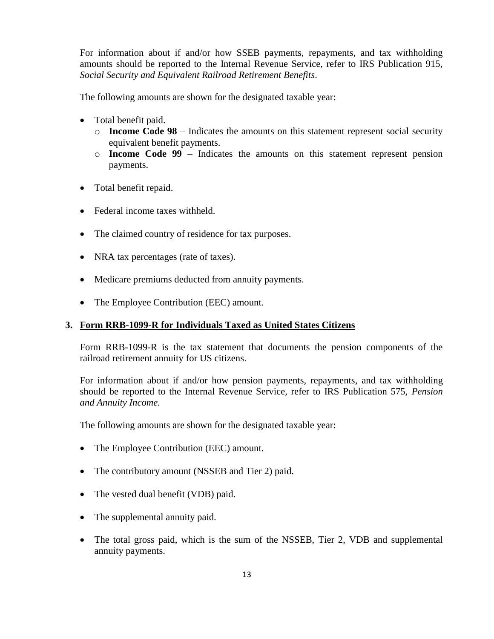For information about if and/or how SSEB payments, repayments, and tax withholding amounts should be reported to the Internal Revenue Service, refer to IRS Publication 915, *Social Security and Equivalent Railroad Retirement Benefits*.

The following amounts are shown for the designated taxable year:

- Total benefit paid.
	- $\circ$  **Income Code 98** Indicates the amounts on this statement represent social security equivalent benefit payments.
	- o **Income Code 99** Indicates the amounts on this statement represent pension payments.
- Total benefit repaid.
- Federal income taxes withheld.
- The claimed country of residence for tax purposes.
- NRA tax percentages (rate of taxes).
- Medicare premiums deducted from annuity payments.
- The Employee Contribution (EEC) amount.

#### **3. Form RRB-1099-R for Individuals Taxed as United States Citizens**

Form RRB-1099-R is the tax statement that documents the pension components of the railroad retirement annuity for US citizens.

For information about if and/or how pension payments, repayments, and tax withholding should be reported to the Internal Revenue Service, refer to IRS Publication 575, *Pension and Annuity Income.*

The following amounts are shown for the designated taxable year:

- The Employee Contribution (EEC) amount.
- The contributory amount (NSSEB and Tier 2) paid.
- The vested dual benefit (VDB) paid.
- The supplemental annuity paid.
- The total gross paid, which is the sum of the NSSEB, Tier 2, VDB and supplemental annuity payments.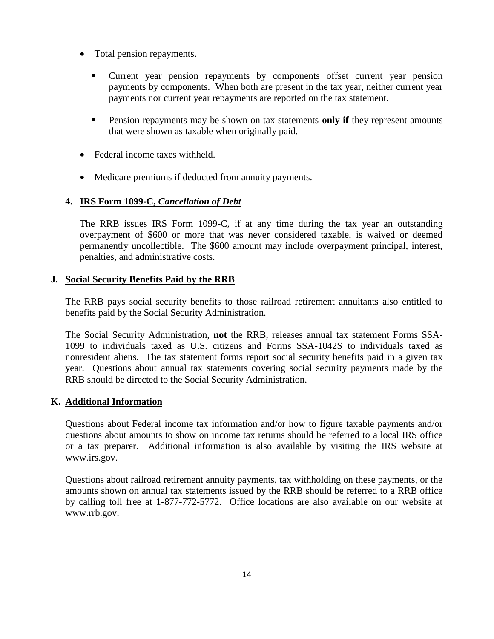- Total pension repayments.
	- Current year pension repayments by components offset current year pension payments by components. When both are present in the tax year, neither current year payments nor current year repayments are reported on the tax statement.
	- Pension repayments may be shown on tax statements **only if** they represent amounts that were shown as taxable when originally paid.
- Federal income taxes withheld.
- Medicare premiums if deducted from annuity payments.

## **4. IRS Form 1099-C,** *Cancellation of Debt*

The RRB issues IRS Form 1099-C*,* if at any time during the tax year an outstanding overpayment of \$600 or more that was never considered taxable, is waived or deemed permanently uncollectible. The \$600 amount may include overpayment principal, interest, penalties, and administrative costs.

## **J. Social Security Benefits Paid by the RRB**

The RRB pays social security benefits to those railroad retirement annuitants also entitled to benefits paid by the Social Security Administration.

The Social Security Administration, **not** the RRB, releases annual tax statement Forms SSA-1099 to individuals taxed as U.S. citizens and Forms SSA-1042S to individuals taxed as nonresident aliens. The tax statement forms report social security benefits paid in a given tax year. Questions about annual tax statements covering social security payments made by the RRB should be directed to the Social Security Administration.

## **K. Additional Information**

Questions about Federal income tax information and/or how to figure taxable payments and/or questions about amounts to show on income tax returns should be referred to a local IRS office or a tax preparer. Additional information is also available by visiting the IRS website at www.irs.gov.

Questions about railroad retirement annuity payments, tax withholding on these payments, or the amounts shown on annual tax statements issued by the RRB should be referred to a RRB office by calling toll free at 1-877-772-5772. Office locations are also available on our website at www.rrb.gov.